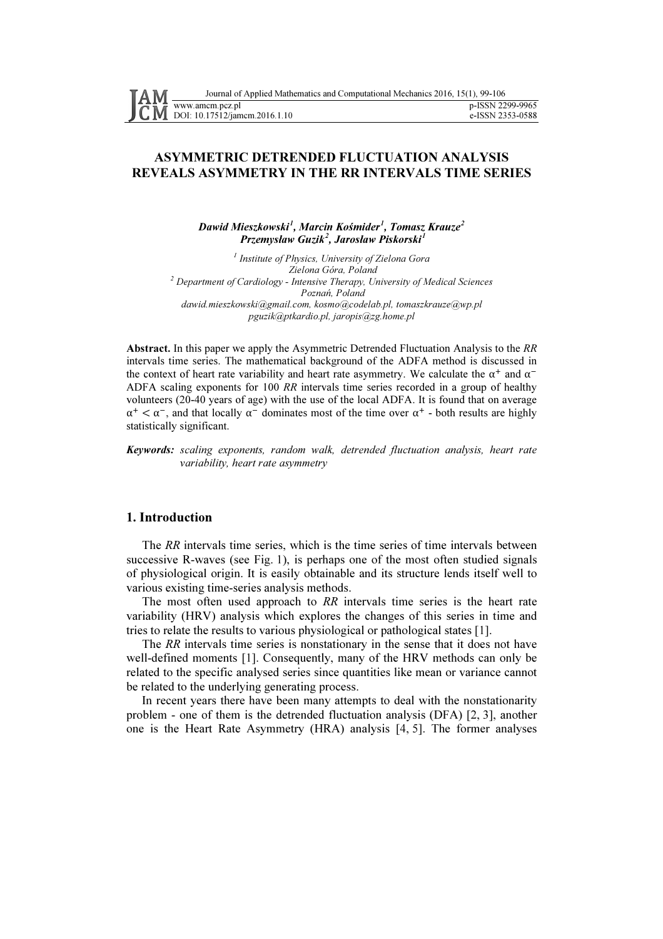# ASYMMETRIC DETRENDED FLUCTUATION ANALYSIS REVEALS ASYMMETRY IN THE RR INTERVALS TIME SERIES

## Dawid Mieszkowski<sup>1</sup>, Marcin Kośmider<sup>1</sup>, Tomasz Krauze<sup>2</sup> Przemysław Guzik<sup>2</sup>, Jarosław Piskorski<sup>1</sup>

<sup>1</sup> Institute of Physics, University of Zielona Gora Zielona Góra, Poland  $2$  Department of Cardiology - Intensive Therapy, University of Medical Sciences Poznań, Poland dawid.mieszkowski@gmail.com, kosmo@codelab.pl, tomaszkrauze@wp.pl pguzik@ptkardio.pl, jaropis@zg.home.pl

Abstract. In this paper we apply the Asymmetric Detrended Fluctuation Analysis to the RR intervals time series. The mathematical background of the ADFA method is discussed in the context of heart rate variability and heart rate asymmetry. We calculate the  $\alpha^+$  and  $\alpha^-$ ADFA scaling exponents for 100 RR intervals time series recorded in a group of healthy volunteers (20-40 years of age) with the use of the local ADFA. It is found that on average  $\alpha^+ < \alpha^-$ , and that locally  $\alpha^-$  dominates most of the time over  $\alpha^+$  - both results are highly statistically significant.

Keywords: scaling exponents, random walk, detrended fluctuation analysis, heart rate variability, heart rate asymmetry

### 1. Introduction

The RR intervals time series, which is the time series of time intervals between successive R-waves (see Fig. 1), is perhaps one of the most often studied signals of physiological origin. It is easily obtainable and its structure lends itself well to various existing time-series analysis methods.

The most often used approach to RR intervals time series is the heart rate variability (HRV) analysis which explores the changes of this series in time and tries to relate the results to various physiological or pathological states [1].

The RR intervals time series is nonstationary in the sense that it does not have well-defined moments [1]. Consequently, many of the HRV methods can only be related to the specific analysed series since quantities like mean or variance cannot be related to the underlying generating process.

In recent years there have been many attempts to deal with the nonstationarity problem - one of them is the detrended fluctuation analysis (DFA) [2, 3], another one is the Heart Rate Asymmetry (HRA) analysis [4, 5]. The former analyses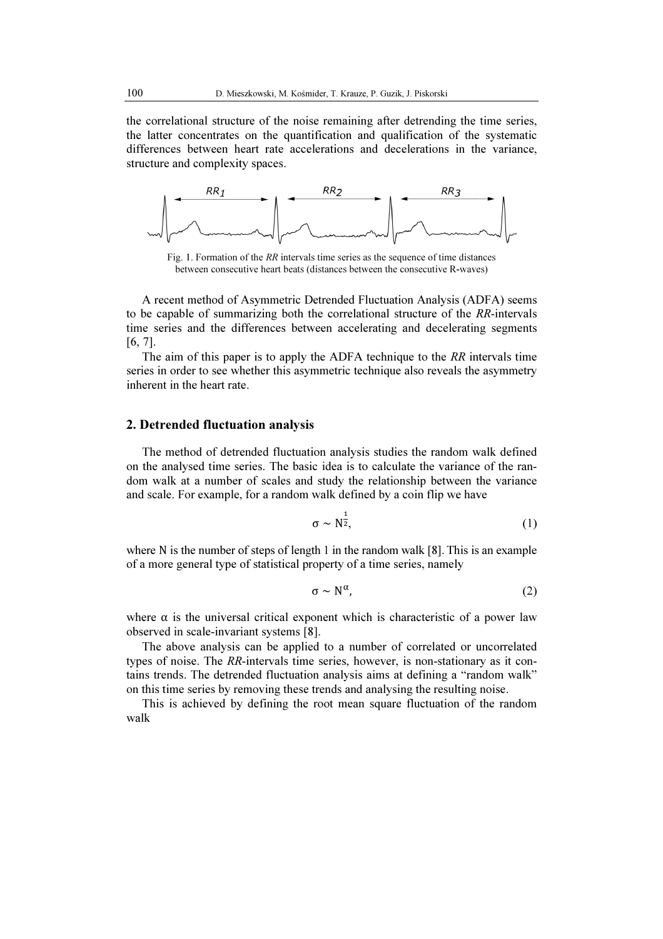the correlational structure of the noise remaining after detrending the time series, the latter concentrates on the quantification and qualification of the systematic differences between heart rate accelerations and decelerations in the variance, structure and complexity spaces.



Fig. 1. Formation of the RR intervals time series as the sequence of time distances between consecutive heart beats (distances between the consecutive R-waves)

A recent method of Asymmetric Detrended Fluctuation Analysis (ADFA) seems to be capable of summarizing both the correlational structure of the RR-intervals time series and the differences between accelerating and decelerating segments [6, 7].

The aim of this paper is to apply the ADFA technique to the  $RR$  intervals time series in order to see whether this asymmetric technique also reveals the asymmetry inherent in the heart rate.

### 2. Detrended fluctuation analysis

The method of detrended fluctuation analysis studies the random walk defined on the analysed time series. The basic idea is to calculate the variance of the random walk at a number of scales and study the relationship between the variance and scale. For example, for a random walk defined by a coin flip we have

$$
\sigma \sim N^{\frac{1}{2}},\tag{1}
$$

where N is the number of steps of length 1 in the random walk [8]. This is an example of a more general type of statistical property of a time series, namely

$$
\sigma \sim N^{\alpha},\tag{2}
$$

where  $\alpha$  is the universal critical exponent which is characteristic of a power law observed in scale-invariant systems [8].

The above analysis can be applied to a number of correlated or uncorrelated types of noise. The RR-intervals time series, however, is non-stationary as it contains trends. The detrended fluctuation analysis aims at defining a "random walk" on this time series by removing these trends and analysing the resulting noise. invariant systems [8].<br>alysis can be applied to a number of correlated or uncorrelate<br>he RR-intervals time series, however, is non-stationary as it co

This is achieved by defining the root mean square fluctuation of the random walk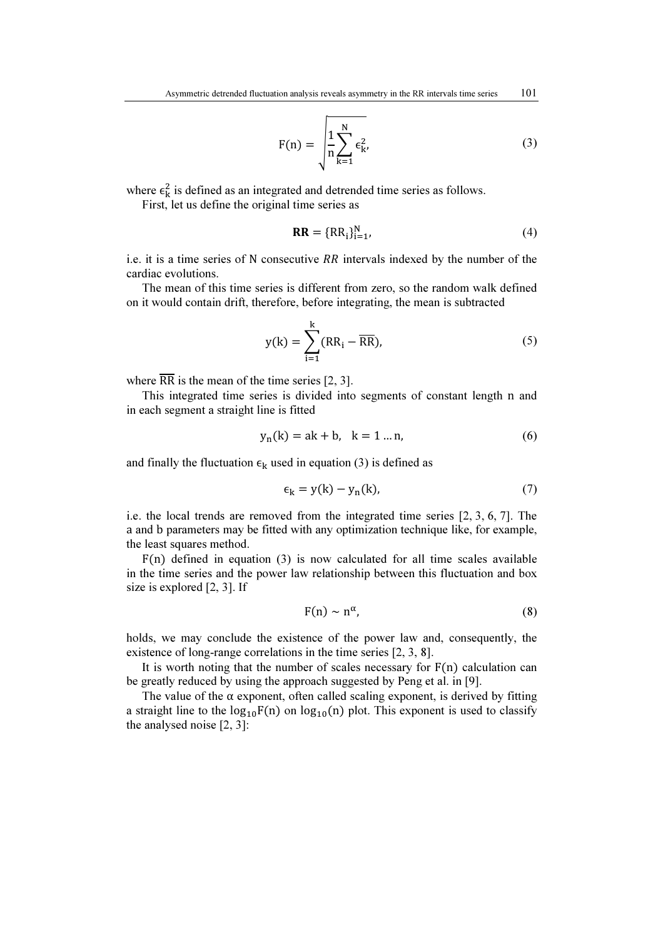$$
F(n) = \sqrt{\frac{1}{n} \sum_{k=1}^{N} \epsilon_{k'}^{2}}
$$
 (3)

where  $\epsilon_{\mathbf{k}}^2$  is defined as an integrated and detrended time series as follows.

First, let us define the original time series as

$$
\mathbf{RR} = \{RR_i\}_{i=1}^N,\tag{4}
$$

i.e. it is a time series of N consecutive  $RR$  intervals indexed by the number of the cardiac evolutions.

The mean of this time series is different from zero, so the random walk defined on it would contain drift, therefore, before integrating, the mean is subtracted

$$
y(k) = \sum_{i=1}^{k} (RR_i - \overline{RR}),
$$
 (5)

where  $\overline{RR}$  is the mean of the time series [2, 3].

This integrated time series is divided into segments of constant length n and in each segment a straight line is fitted

$$
y_n(k) = ak + b, \ k = 1 ... n,
$$
 (6)

and finally the fluctuation  $\epsilon_k$  used in equation (3) is defined as

$$
\epsilon_{\mathbf{k}} = \mathbf{y}(\mathbf{k}) - \mathbf{y}_{\mathbf{n}}(\mathbf{k}),\tag{7}
$$

i.e. the local trends are removed from the integrated time series [2, 3, 6, 7]. The a and b parameters may be fitted with any optimization technique like, for example, the least squares method.

 $F(n)$  defined in equation (3) is now calculated for all time scales available in the time series and the power law relationship between this fluctuation and box size is explored [2, 3]. If

$$
F(n) \sim n^{\alpha}, \tag{8}
$$

holds, we may conclude the existence of the power law and, consequently, the existence of long-range correlations in the time series [2, 3, 8].

It is worth noting that the number of scales necessary for  $F(n)$  calculation can be greatly reduced by using the approach suggested by Peng et al. in [9].

The value of the  $\alpha$  exponent, often called scaling exponent, is derived by fitting a straight line to the  $log_{10}F(n)$  on  $log_{10}(n)$  plot. This exponent is used to classify the analysed noise [2, 3]: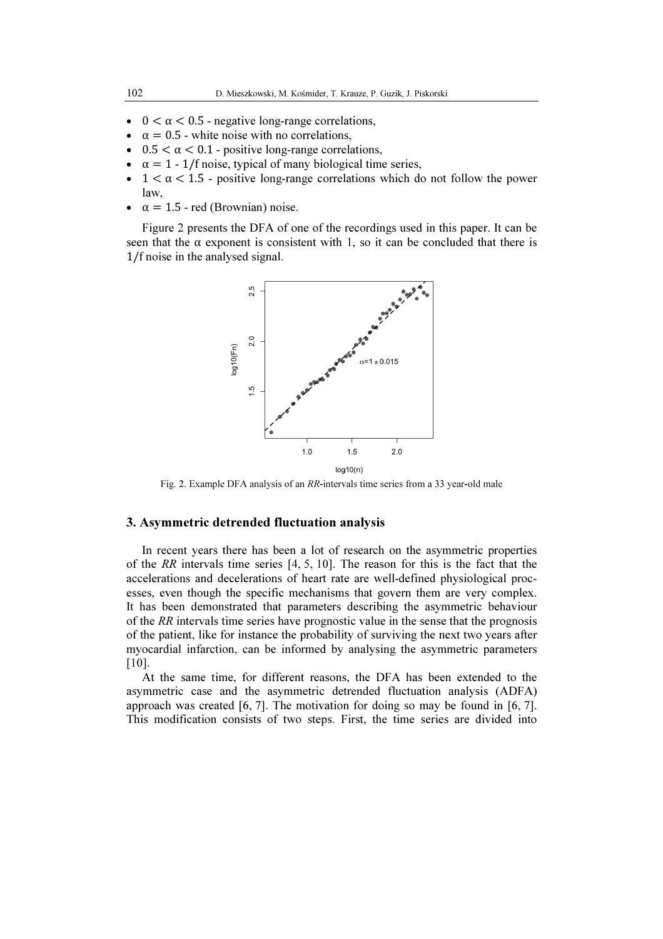- $0 < \alpha < 0.5$  negative long-range correlations,
- $\alpha = 0.5$  white noise with no correlations,
- $\bullet$  0.5 <  $\alpha$  < 0.1 positive long-range correlations,
- $\alpha = 1 1$  f noise, typical of many biological time series,
- $1 < \alpha < 1.5$  positive long-range correlations which do not follow the power law,
- $\alpha = 1.5$  red (Brownian) noise.

Figure 2 presents the DFA of one of the recordings used in this paper. It can be seen that the  $\alpha$  exponent is consistent with 1, so it can be concluded that there is 1/f noise in the analysed signal.



Fig. 2. Example DFA analysis of an RR-intervals time series from a 33 year-old male

### 3. Asymmetric detrended fluctuation analysis

In recent years there has been a lot of research on the asymmetric properties of the RR intervals time series  $[4, 5, 10]$ . The reason for this is the fact that the accelerations and decelerations of heart rate are well-defined physiological processes, even though the specific mechanisms that govern them are very complex. It has been demonstrated that parameters describing the asymmetric behaviour of the  $RR$  intervals time series have prognostic value in the sense that the prognosis of the patient, like for instance the probability of surviving the next two years after myocardial infarction, can be informed by analysing the asymmetric parameters [10]. ue in the sense that the prognosis<br>surviving the next two years after<br>sing the asymmetric parameters<br>DFA has been extended to the<br>d fluctuation analysis (ADFA)<br>doing so may be found in [6, 7].

At the same time, for different reasons, the DFA has been extended to the asymmetric case and the asymmetric detrended fluctuation analysis (ADFA) approach was created [6, 7]. The motivation for doing so may be found in [6, This modification consists of two steps. First, the time series are divided into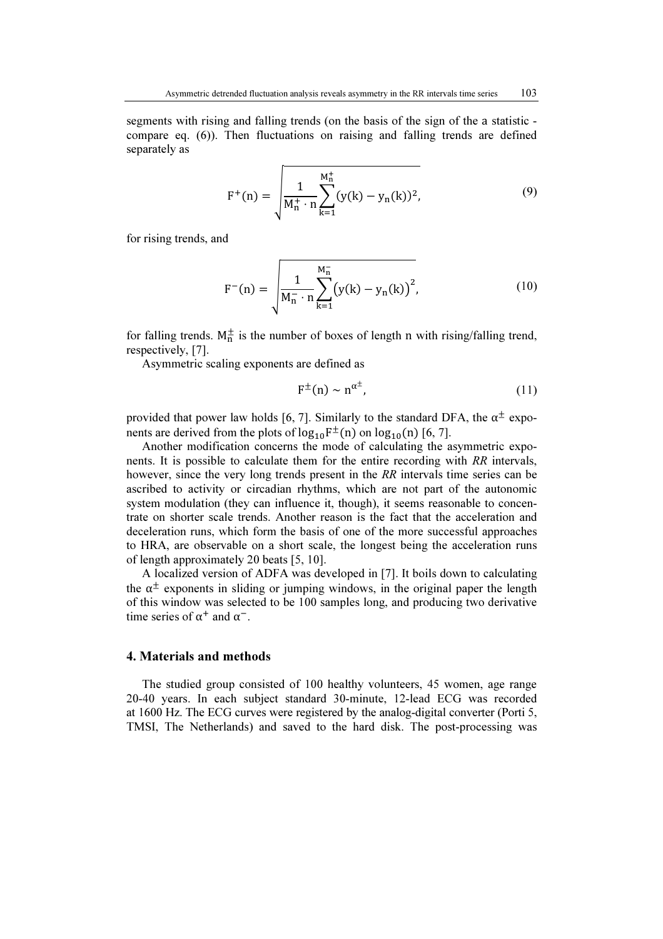segments with rising and falling trends (on the basis of the sign of the a statistic compare eq. (6)). Then fluctuations on raising and falling trends are defined separately as

$$
F^{+}(n) = \sqrt{\frac{1}{M_{n}^{+} \cdot n} \sum_{k=1}^{M_{n}^{+}} (y(k) - y_{n}(k))^{2}},
$$
\n(9)

for rising trends, and

$$
F^{-}(n) = \sqrt{\frac{1}{M_{n}^{-} \cdot n} \sum_{k=1}^{M_{n}^{-}} (y(k) - y_{n}(k))^{2}},
$$
\n(10)

for falling trends.  $M_n^{\pm}$  is the number of boxes of length n with rising/falling trend, respectively, [7].

Asymmetric scaling exponents are defined as

$$
F^{\pm}(n) \sim n^{\alpha^{\pm}}, \tag{11}
$$

provided that power law holds [6, 7]. Similarly to the standard DFA, the  $\alpha^{\pm}$  exponents are derived from the plots of  $log_{10}F^{\pm}(n)$  on  $log_{10}(n)$  [6, 7].

Another modification concerns the mode of calculating the asymmetric exponents. It is possible to calculate them for the entire recording with RR intervals, however, since the very long trends present in the RR intervals time series can be ascribed to activity or circadian rhythms, which are not part of the autonomic system modulation (they can influence it, though), it seems reasonable to concentrate on shorter scale trends. Another reason is the fact that the acceleration and deceleration runs, which form the basis of one of the more successful approaches to HRA, are observable on a short scale, the longest being the acceleration runs of length approximately 20 beats [5, 10].

A localized version of ADFA was developed in [7]. It boils down to calculating the  $\alpha^{\pm}$  exponents in sliding or jumping windows, in the original paper the length of this window was selected to be 100 samples long, and producing two derivative time series of  $\alpha^+$  and  $\alpha^-$ .

### 4. Materials and methods

The studied group consisted of 100 healthy volunteers, 45 women, age range 20-40 years. In each subject standard 30-minute, 12-lead ECG was recorded at 1600 Hz. The ECG curves were registered by the analog-digital converter (Porti 5, TMSI, The Netherlands) and saved to the hard disk. The post-processing was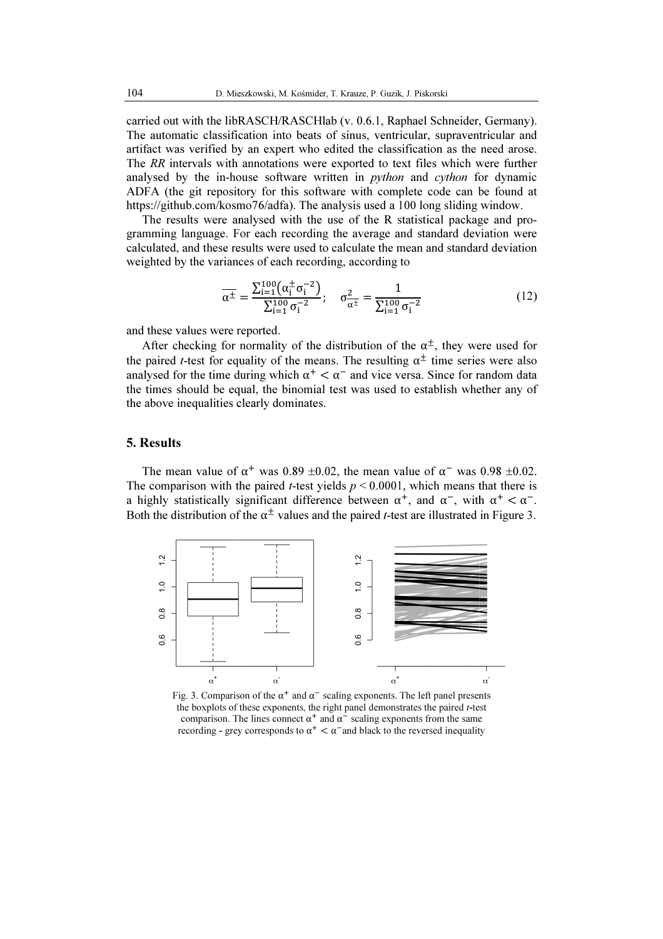carried out with the libRASCH/RASCHlab (v. 0.6.1, Raphael Schneider, Germany). The automatic classification into beats of sinus, ventricular, supraventricular and artifact was verified by an expert who edited the classification as the need arose. The RR intervals with annotations were exported to text files which were further The automatic classification into beats of sinus, ventricular, supraventricular and artifact was verified by an expert who edited the classification as the need arose. The *RR* intervals with annotations were exported to t ADFA (the git repository for this software with complete code can be found at https://github.com/kosmo76/adfa). The analysis used a 100 long sliding window.

The results were analysed with the use of the R statistical package and programming language. For each recording the average and standard deviation were calculated, and these results were used to calculate the mean and standard deviation weighted by the variances of each recording, according to

$$
\overline{\alpha^{\pm}} = \frac{\sum_{i=1}^{100} (\alpha_i^{\pm} \sigma_i^{-2})}{\sum_{i=1}^{100} \sigma_i^{-2}}; \quad \sigma_{\alpha^{\pm}}^2 = \frac{1}{\sum_{i=1}^{100} \sigma_i^{-2}}
$$
(12)

and these values were reported.

After checking for normality of the distribution of the  $\alpha^{\pm}$ , they were used for the paired *t*-test for equality of the means. The resulting  $\alpha^{\pm}$  time series were also analysed for the time during which  $\alpha^+ < \alpha^-$  and vice versa. Since for random data the times should be equal, the binomial test was used to establish whether any of the above inequalities clearly dominates.

#### 5. Results

The mean value of  $\alpha^+$  was 0.89 ±0.02, the mean value of  $\alpha^-$  was 0.98 ±0.02. The comparison with the paired *t*-test yields  $p \le 0.0001$ , which means that there is a highly statistically significant difference between  $\alpha^+$ , and  $\alpha^-$ , with  $\alpha^+ < \alpha^-$ . Both the distribution of the  $\alpha^{\pm}$  values and the paired *t*-test are illustrated in Figure 3.



Fig. 3. Comparison of the  $\alpha^+$  and  $\alpha^-$  scaling exponents. The left panel presents the boxplots of these exponents, the right panel demonstrates the paired t-test comparison. The lines connect  $\alpha^+$  and  $\alpha^-$  scaling exponents from the same recording - grey corresponds to  $\alpha^+ < \alpha^-$  and black to the reversed inequality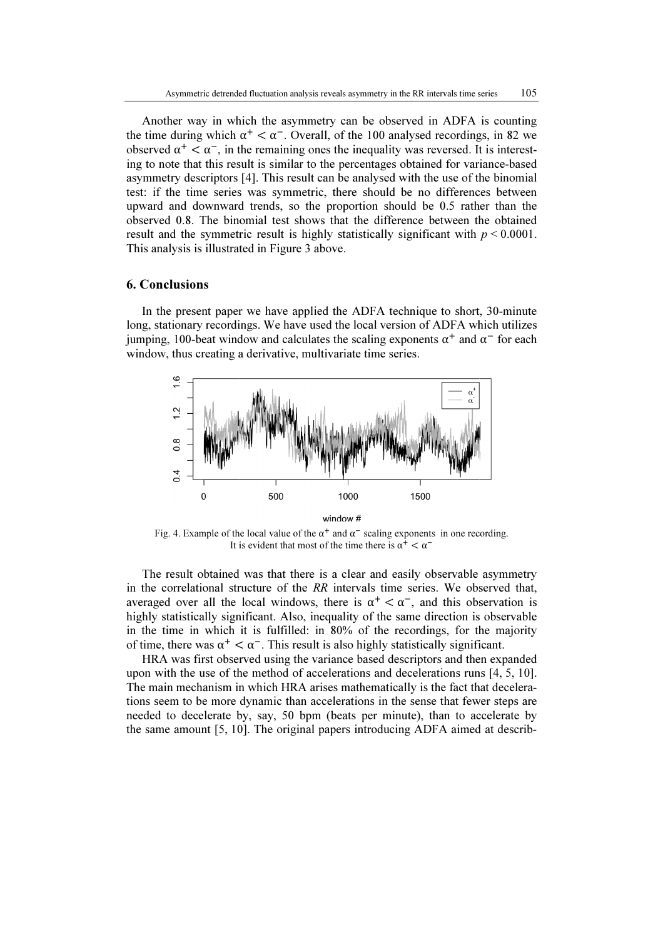Another way in which the asymmetry can be observed in ADFA is counting the time during which  $\alpha^+ < \alpha^-$ . Overall, of the 100 analysed recordings, in 82 we observed  $\alpha^+ < \alpha^-$ , in the remaining ones the inequality was reversed. It is interesting to note that this result is similar to the percentages obtained for variance-based asymmetry descriptors [4]. This result can be analysed with the use of the binomial test: if the time series was symmetric, there should be no differences between upward and downward trends, so the proportion should be 0.5 rather than the observed 0.8. The binomial test shows that the difference between the obtained result and the symmetric result is highly statistically significant with  $p < 0.0001$ . This analysis is illustrated in Figure 3 above.

### 6. Conclusions

In the present paper we have applied the ADFA technique to short, 30 30-minute long, stationary recordings. We have used the local version of ADFA which utilizes jumping, 100-beat window and calculates the scaling exponents  $\alpha^+$  and  $\alpha^-$  for each window, thus creating a derivative, multivariate time series.



Fig. 4. Example of the local value of the  $\alpha^+$  and  $\alpha^-$  scaling exponents in one recording. It is evident that most of the time there is  $\alpha^+ < \alpha^-$ 

The result obtained was that there is a clear and easily observable asymmetry in the correlational structure of the RR intervals time series. We observed that, averaged over all the local windows, there is  $\alpha^+ < \alpha^-$ , and this observation is highly statistically significant. Also, inequality of the same direction is observable in the time in which it is fulfilled: in 80% of the recordings, for the majority of time, there was  $\alpha^+ < \alpha^-$ . This result is also highly statistically significant.

HRA was first observed using the variance based descriptors and then expanded of time, there was  $\alpha^+ < \alpha^-$ . This result is also highly statistically significant.<br>HRA was first observed using the variance based descriptors and then expanded<br>upon with the use of the method of accelerations and decel The main mechanism in which HRA arises mathematically is the fact that decelerations seem to be more dynamic than accelerations in the sense that fewer steps are needed to decelerate by, say, 50 bpm (beats per minute), than to accelerate by the same amount [5, 10]. The original papers introducing ADFA aimed at describ